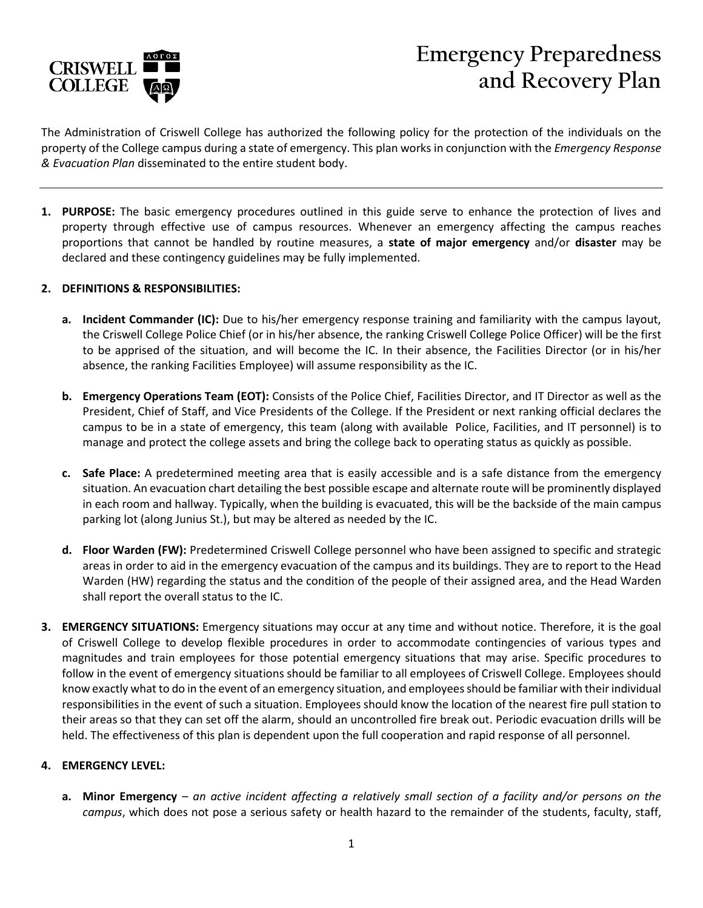

# **Emergency Preparedness and Recovery Plan**

The Administration of Criswell College has authorized the following policy for the protection of the individuals on the property of the College campus during a state of emergency. This plan works in conjunction with the *Emergency Response & Evacuation Plan* disseminated to the entire student body.

**1. PURPOSE:** The basic emergency procedures outlined in this guide serve to enhance the protection of lives and property through effective use of campus resources. Whenever an emergency affecting the campus reaches proportions that cannot be handled by routine measures, a **state of major emergency** and/or **disaster** may be declared and these contingency guidelines may be fully implemented.

#### **2. DEFINITIONS & RESPONSIBILITIES:**

- **a. Incident Commander (IC):** Due to his/her emergency response training and familiarity with the campus layout, the Criswell College Police Chief (or in his/her absence, the ranking Criswell College Police Officer) will be the first to be apprised of the situation, and will become the IC. In their absence, the Facilities Director (or in his/her absence, the ranking Facilities Employee) will assume responsibility as the IC.
- **b. Emergency Operations Team (EOT):** Consists of the Police Chief, Facilities Director, and IT Director as well as the President, Chief of Staff, and Vice Presidents of the College. If the President or next ranking official declares the campus to be in a state of emergency, this team (along with available Police, Facilities, and IT personnel) is to manage and protect the college assets and bring the college back to operating status as quickly as possible.
- **c. Safe Place:** A predetermined meeting area that is easily accessible and is a safe distance from the emergency situation. An evacuation chart detailing the best possible escape and alternate route will be prominently displayed in each room and hallway. Typically, when the building is evacuated, this will be the backside of the main campus parking lot (along Junius St.), but may be altered as needed by the IC.
- **d. Floor Warden (FW):** Predetermined Criswell College personnel who have been assigned to specific and strategic areas in order to aid in the emergency evacuation of the campus and its buildings. They are to report to the Head Warden (HW) regarding the status and the condition of the people of their assigned area, and the Head Warden shall report the overall status to the IC.
- **3. EMERGENCY SITUATIONS:** Emergency situations may occur at any time and without notice. Therefore, it is the goal of Criswell College to develop flexible procedures in order to accommodate contingencies of various types and magnitudes and train employees for those potential emergency situations that may arise. Specific procedures to follow in the event of emergency situations should be familiar to all employees of Criswell College. Employees should know exactly what to do in the event of an emergency situation, and employeesshould be familiar with their individual responsibilities in the event of such a situation. Employees should know the location of the nearest fire pull station to their areas so that they can set off the alarm, should an uncontrolled fire break out. Periodic evacuation drills will be held. The effectiveness of this plan is dependent upon the full cooperation and rapid response of all personnel.

#### **4. EMERGENCY LEVEL:**

**a. Minor Emergency** – *an active incident affecting a relatively small section of a facility and/or persons on the campus*, which does not pose a serious safety or health hazard to the remainder of the students, faculty, staff,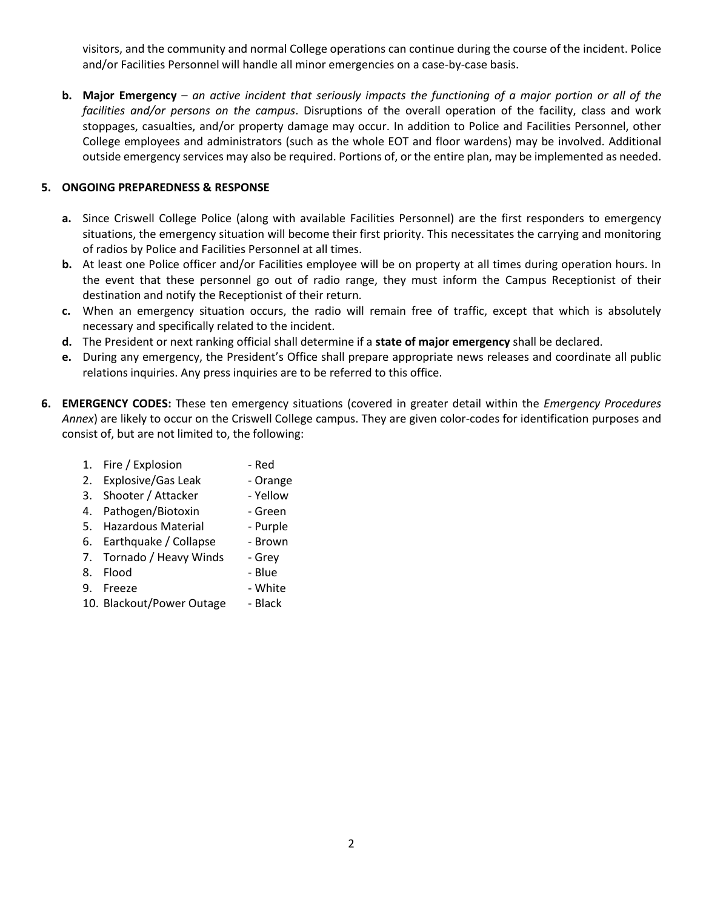visitors, and the community and normal College operations can continue during the course of the incident. Police and/or Facilities Personnel will handle all minor emergencies on a case-by-case basis.

**b. Major Emergency** – *an active incident that seriously impacts the functioning of a major portion or all of the facilities and/or persons on the campus*. Disruptions of the overall operation of the facility, class and work stoppages, casualties, and/or property damage may occur. In addition to Police and Facilities Personnel, other College employees and administrators (such as the whole EOT and floor wardens) may be involved. Additional outside emergency services may also be required. Portions of, or the entire plan, may be implemented as needed.

### **5. ONGOING PREPAREDNESS & RESPONSE**

- **a.** Since Criswell College Police (along with available Facilities Personnel) are the first responders to emergency situations, the emergency situation will become their first priority. This necessitates the carrying and monitoring of radios by Police and Facilities Personnel at all times.
- **b.** At least one Police officer and/or Facilities employee will be on property at all times during operation hours. In the event that these personnel go out of radio range, they must inform the Campus Receptionist of their destination and notify the Receptionist of their return.
- **c.** When an emergency situation occurs, the radio will remain free of traffic, except that which is absolutely necessary and specifically related to the incident.
- **d.** The President or next ranking official shall determine if a **state of major emergency** shall be declared.
- **e.** During any emergency, the President's Office shall prepare appropriate news releases and coordinate all public relations inquiries. Any press inquiries are to be referred to this office.
- **6. EMERGENCY CODES:** These ten emergency situations (covered in greater detail within the *Emergency Procedures Annex*) are likely to occur on the Criswell College campus. They are given color-codes for identification purposes and consist of, but are not limited to, the following:
	- 1. Fire / Explosion Red
	- 2. Explosive/Gas Leak Orange
	- 3. Shooter / Attacker Yellow
	- 4. Pathogen/Biotoxin Green
	- 5. Hazardous Material Purple
	- 6. Earthquake / Collapse Brown
	- 7. Tornado / Heavy Winds Grey
	- 8. Flood Blue
	- 9. Freeze White
	-
	- 10. Blackout/Power Outage Black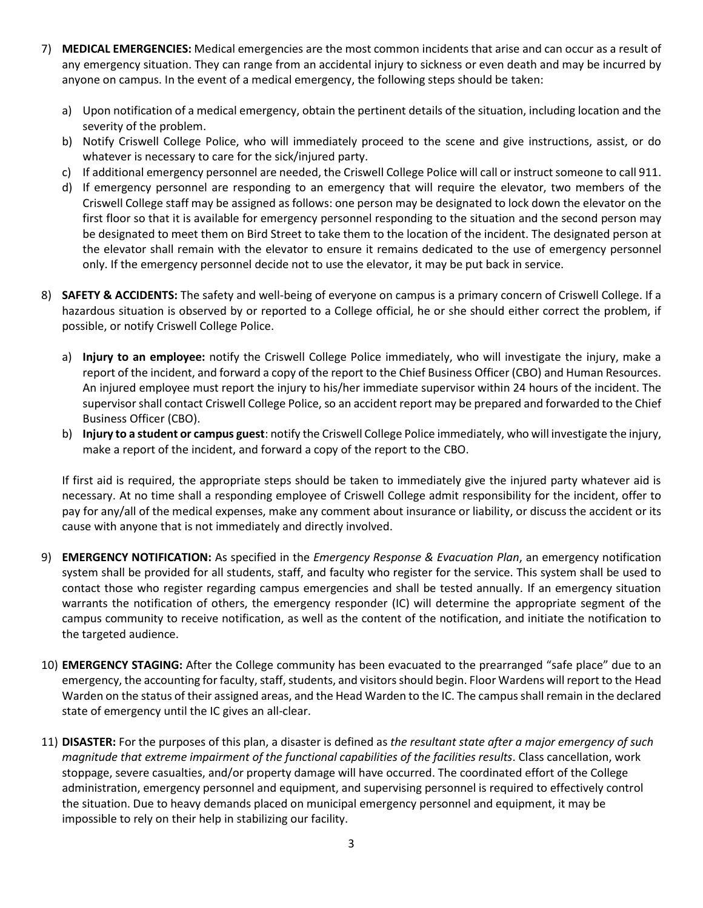- 7) **MEDICAL EMERGENCIES:** Medical emergencies are the most common incidents that arise and can occur as a result of any emergency situation. They can range from an accidental injury to sickness or even death and may be incurred by anyone on campus. In the event of a medical emergency, the following steps should be taken:
	- a) Upon notification of a medical emergency, obtain the pertinent details of the situation, including location and the severity of the problem.
	- b) Notify Criswell College Police, who will immediately proceed to the scene and give instructions, assist, or do whatever is necessary to care for the sick/injured party.
	- c) If additional emergency personnel are needed, the Criswell College Police will call or instruct someone to call 911.
	- d) If emergency personnel are responding to an emergency that will require the elevator, two members of the Criswell College staff may be assigned as follows: one person may be designated to lock down the elevator on the first floor so that it is available for emergency personnel responding to the situation and the second person may be designated to meet them on Bird Street to take them to the location of the incident. The designated person at the elevator shall remain with the elevator to ensure it remains dedicated to the use of emergency personnel only. If the emergency personnel decide not to use the elevator, it may be put back in service.
- 8) **SAFETY & ACCIDENTS:** The safety and well-being of everyone on campus is a primary concern of Criswell College. If a hazardous situation is observed by or reported to a College official, he or she should either correct the problem, if possible, or notify Criswell College Police.
	- a) **Injury to an employee:** notify the Criswell College Police immediately, who will investigate the injury, make a report of the incident, and forward a copy of the report to the Chief Business Officer (CBO) and Human Resources. An injured employee must report the injury to his/her immediate supervisor within 24 hours of the incident. The supervisor shall contact Criswell College Police, so an accident report may be prepared and forwarded to the Chief Business Officer (CBO).
	- b) **Injury to a student or campus guest**: notify the Criswell College Police immediately, who will investigate the injury, make a report of the incident, and forward a copy of the report to the CBO.

If first aid is required, the appropriate steps should be taken to immediately give the injured party whatever aid is necessary. At no time shall a responding employee of Criswell College admit responsibility for the incident, offer to pay for any/all of the medical expenses, make any comment about insurance or liability, or discuss the accident or its cause with anyone that is not immediately and directly involved.

- 9) **EMERGENCY NOTIFICATION:** As specified in the *Emergency Response & Evacuation Plan*, an emergency notification system shall be provided for all students, staff, and faculty who register for the service. This system shall be used to contact those who register regarding campus emergencies and shall be tested annually. If an emergency situation warrants the notification of others, the emergency responder (IC) will determine the appropriate segment of the campus community to receive notification, as well as the content of the notification, and initiate the notification to the targeted audience.
- 10) **EMERGENCY STAGING:** After the College community has been evacuated to the prearranged "safe place" due to an emergency, the accounting for faculty, staff, students, and visitors should begin. Floor Wardens will report to the Head Warden on the status of their assigned areas, and the Head Warden to the IC. The campus shall remain in the declared state of emergency until the IC gives an all-clear.
- 11) **DISASTER:** For the purposes of this plan, a disaster is defined as *the resultant state after a major emergency of such magnitude that extreme impairment of the functional capabilities of the facilities results*. Class cancellation, work stoppage, severe casualties, and/or property damage will have occurred. The coordinated effort of the College administration, emergency personnel and equipment, and supervising personnel is required to effectively control the situation. Due to heavy demands placed on municipal emergency personnel and equipment, it may be impossible to rely on their help in stabilizing our facility.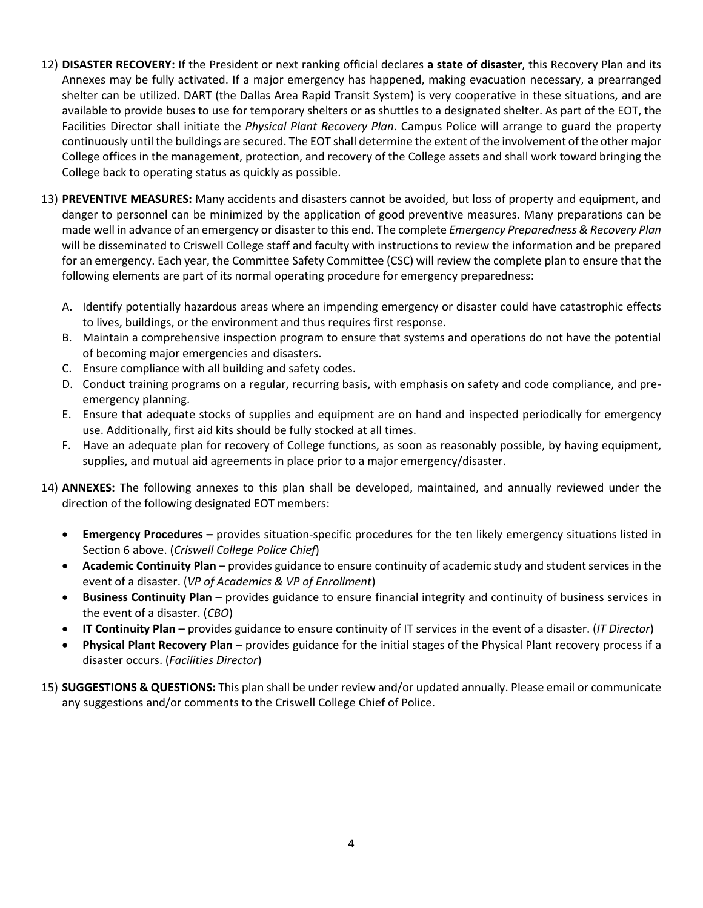- 12) **DISASTER RECOVERY:** If the President or next ranking official declares **a state of disaster**, this Recovery Plan and its Annexes may be fully activated. If a major emergency has happened, making evacuation necessary, a prearranged shelter can be utilized. DART (the Dallas Area Rapid Transit System) is very cooperative in these situations, and are available to provide buses to use for temporary shelters or as shuttles to a designated shelter. As part of the EOT, the Facilities Director shall initiate the *Physical Plant Recovery Plan*. Campus Police will arrange to guard the property continuously until the buildings are secured. The EOT shall determine the extent of the involvement of the other major College offices in the management, protection, and recovery of the College assets and shall work toward bringing the College back to operating status as quickly as possible.
- 13) **PREVENTIVE MEASURES:** Many accidents and disasters cannot be avoided, but loss of property and equipment, and danger to personnel can be minimized by the application of good preventive measures. Many preparations can be made well in advance of an emergency or disaster to this end. The complete *Emergency Preparedness & Recovery Plan* will be disseminated to Criswell College staff and faculty with instructions to review the information and be prepared for an emergency. Each year, the Committee Safety Committee (CSC) will review the complete plan to ensure that the following elements are part of its normal operating procedure for emergency preparedness:
	- A. Identify potentially hazardous areas where an impending emergency or disaster could have catastrophic effects to lives, buildings, or the environment and thus requires first response.
	- B. Maintain a comprehensive inspection program to ensure that systems and operations do not have the potential of becoming major emergencies and disasters.
	- C. Ensure compliance with all building and safety codes.
	- D. Conduct training programs on a regular, recurring basis, with emphasis on safety and code compliance, and preemergency planning.
	- E. Ensure that adequate stocks of supplies and equipment are on hand and inspected periodically for emergency use. Additionally, first aid kits should be fully stocked at all times.
	- F. Have an adequate plan for recovery of College functions, as soon as reasonably possible, by having equipment, supplies, and mutual aid agreements in place prior to a major emergency/disaster.
- 14) **ANNEXES:** The following annexes to this plan shall be developed, maintained, and annually reviewed under the direction of the following designated EOT members:
	- **Emergency Procedures –** provides situation-specific procedures for the ten likely emergency situations listed in Section 6 above. (*Criswell College Police Chief*)
	- **Academic Continuity Plan** provides guidance to ensure continuity of academic study and student services in the event of a disaster. (*VP of Academics & VP of Enrollment*)
	- **Business Continuity Plan** provides guidance to ensure financial integrity and continuity of business services in the event of a disaster. (*CBO*)
	- **IT Continuity Plan** provides guidance to ensure continuity of IT services in the event of a disaster. (*IT Director*)
	- **Physical Plant Recovery Plan** provides guidance for the initial stages of the Physical Plant recovery process if a disaster occurs. (*Facilities Director*)
- 15) **SUGGESTIONS & QUESTIONS:** This plan shall be under review and/or updated annually. Please email or communicate any suggestions and/or comments to the Criswell College Chief of Police.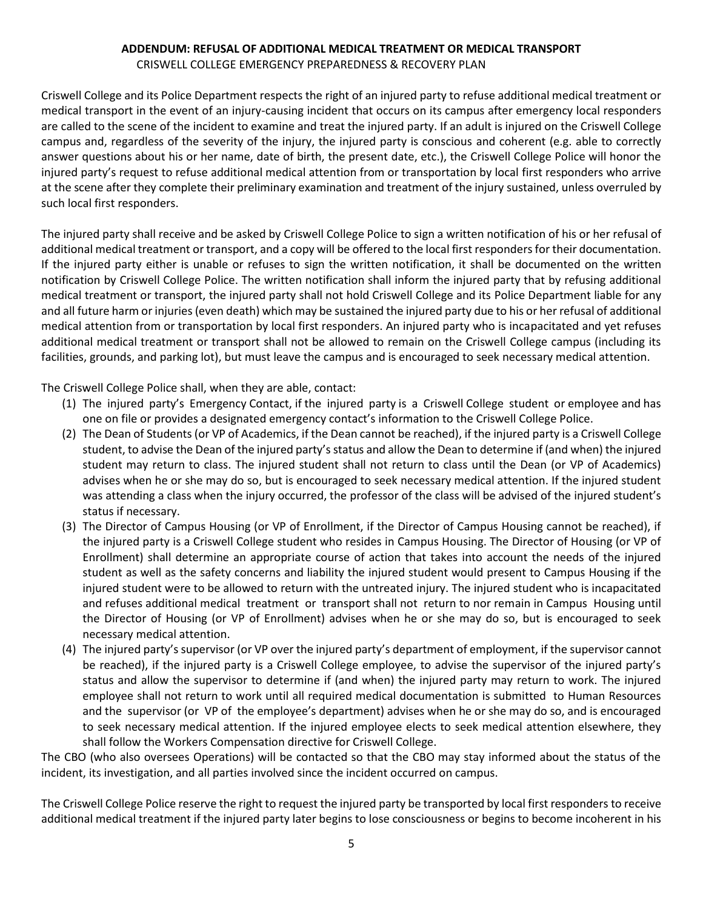## **ADDENDUM: REFUSAL OF ADDITIONAL MEDICAL TREATMENT OR MEDICAL TRANSPORT**

CRISWELL COLLEGE EMERGENCY PREPAREDNESS & RECOVERY PLAN

Criswell College and its Police Department respects the right of an injured party to refuse additional medical treatment or medical transport in the event of an injury-causing incident that occurs on its campus after emergency local responders are called to the scene of the incident to examine and treat the injured party. If an adult is injured on the Criswell College campus and, regardless of the severity of the injury, the injured party is conscious and coherent (e.g. able to correctly answer questions about his or her name, date of birth, the present date, etc.), the Criswell College Police will honor the injured party's request to refuse additional medical attention from or transportation by local first responders who arrive at the scene after they complete their preliminary examination and treatment of the injury sustained, unless overruled by such local first responders.

The injured party shall receive and be asked by Criswell College Police to sign a written notification of his or her refusal of additional medical treatment or transport, and a copy will be offered to the local first responders for their documentation. If the injured party either is unable or refuses to sign the written notification, it shall be documented on the written notification by Criswell College Police. The written notification shall inform the injured party that by refusing additional medical treatment or transport, the injured party shall not hold Criswell College and its Police Department liable for any and all future harm or injuries (even death) which may be sustained the injured party due to his or her refusal of additional medical attention from or transportation by local first responders. An injured party who is incapacitated and yet refuses additional medical treatment or transport shall not be allowed to remain on the Criswell College campus (including its facilities, grounds, and parking lot), but must leave the campus and is encouraged to seek necessary medical attention.

The Criswell College Police shall, when they are able, contact:

- (1) The injured party's Emergency Contact, if the injured party is a Criswell College student or employee and has one on file or provides a designated emergency contact's information to the Criswell College Police.
- (2) The Dean of Students (or VP of Academics, if the Dean cannot be reached), if the injured party is a Criswell College student, to advise the Dean of the injured party's status and allow the Dean to determine if (and when) the injured student may return to class. The injured student shall not return to class until the Dean (or VP of Academics) advises when he or she may do so, but is encouraged to seek necessary medical attention. If the injured student was attending a class when the injury occurred, the professor of the class will be advised of the injured student's status if necessary.
- (3) The Director of Campus Housing (or VP of Enrollment, if the Director of Campus Housing cannot be reached), if the injured party is a Criswell College student who resides in Campus Housing. The Director of Housing (or VP of Enrollment) shall determine an appropriate course of action that takes into account the needs of the injured student as well as the safety concerns and liability the injured student would present to Campus Housing if the injured student were to be allowed to return with the untreated injury. The injured student who is incapacitated and refuses additional medical treatment or transport shall not return to nor remain in Campus Housing until the Director of Housing (or VP of Enrollment) advises when he or she may do so, but is encouraged to seek necessary medical attention.
- (4) The injured party's supervisor (or VP over the injured party's department of employment, if the supervisor cannot be reached), if the injured party is a Criswell College employee, to advise the supervisor of the injured party's status and allow the supervisor to determine if (and when) the injured party may return to work. The injured employee shall not return to work until all required medical documentation is submitted to Human Resources and the supervisor (or VP of the employee's department) advises when he or she may do so, and is encouraged to seek necessary medical attention. If the injured employee elects to seek medical attention elsewhere, they shall follow the Workers Compensation directive for Criswell College.

The CBO (who also oversees Operations) will be contacted so that the CBO may stay informed about the status of the incident, its investigation, and all parties involved since the incident occurred on campus.

The Criswell College Police reserve the right to request the injured party be transported by local first responders to receive additional medical treatment if the injured party later begins to lose consciousness or begins to become incoherent in his